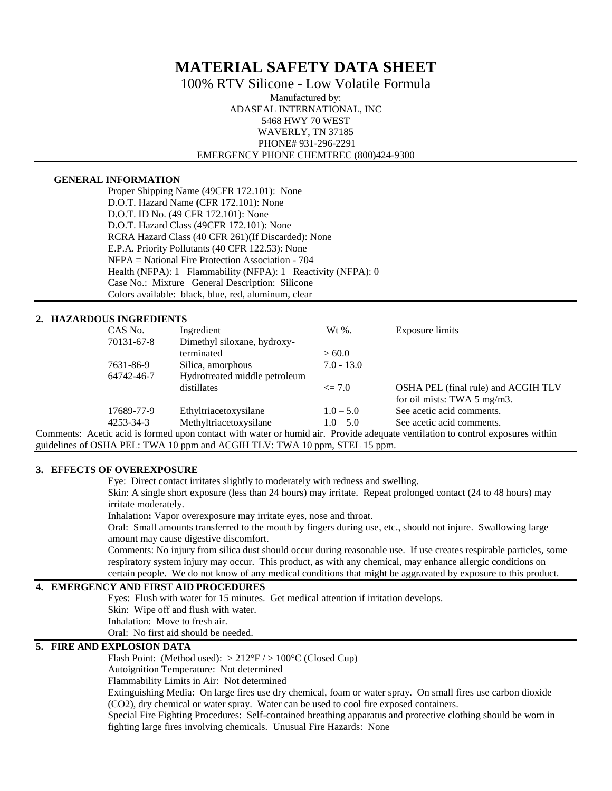# **MATERIAL SAFETY DATA SHEET**

100% RTV Silicone - Low Volatile Formula

Manufactured by: ADASEAL INTERNATIONAL, INC 5468 HWY 70 WEST WAVERLY, TN 37185 PHONE# 931-296-2291 EMERGENCY PHONE CHEMTREC (800)424-9300

#### **GENERAL INFORMATION**

Proper Shipping Name (49CFR 172.101): None D.O.T. Hazard Name **(**CFR 172.101): None D.O.T. ID No. (49 CFR 172.101): None D.O.T. Hazard Class (49CFR 172.101): None RCRA Hazard Class (40 CFR 261)(If Discarded): None E.P.A. Priority Pollutants (40 CFR 122.53): None NFPA = National Fire Protection Association - 704 Health (NFPA): 1 Flammability (NFPA): 1 Reactivity (NFPA): 0 Case No.: Mixture General Description: Silicone Colors available: black, blue, red, aluminum, clear

## **2. HAZARDOUS INGREDIENTS**

|                                                                                                                      | CAS No.    | Ingredient                    | $Wt\%$ .     | <b>Exposure limits</b>              |  |
|----------------------------------------------------------------------------------------------------------------------|------------|-------------------------------|--------------|-------------------------------------|--|
|                                                                                                                      | 70131-67-8 | Dimethyl siloxane, hydroxy-   |              |                                     |  |
|                                                                                                                      |            | terminated                    | > 60.0       |                                     |  |
|                                                                                                                      | 7631-86-9  | Silica, amorphous             | $7.0 - 13.0$ |                                     |  |
|                                                                                                                      | 64742-46-7 | Hydrotreated middle petroleum |              |                                     |  |
|                                                                                                                      |            | distillates                   | $\leq$ 7.0   | OSHA PEL (final rule) and ACGIH TLV |  |
|                                                                                                                      |            |                               |              | for oil mists: TWA 5 mg/m3.         |  |
|                                                                                                                      | 17689-77-9 | Ethyltriacetoxysilane         | $1.0 - 5.0$  | See acetic acid comments.           |  |
|                                                                                                                      | 4253-34-3  | Methyltriacetoxysilane        | $1.0 - 5.0$  | See acetic acid comments.           |  |
| estin esid is formed waar contest with water or burnid oir. Dravide edgewate vertilation to control expecures within |            |                               |              |                                     |  |

Comments: Acetic acid is formed upon contact with water or humid air. Provide adequate ventilation to control exposures within guidelines of OSHA PEL: TWA 10 ppm and ACGIH TLV: TWA 10 ppm, STEL 15 ppm.

## **3. EFFECTS OF OVEREXPOSURE**

Eye: Direct contact irritates slightly to moderately with redness and swelling.

Skin: A single short exposure (less than 24 hours) may irritate. Repeat prolonged contact (24 to 48 hours) may irritate moderately.

Inhalation**:** Vapor overexposure may irritate eyes, nose and throat.

Oral:Small amounts transferred to the mouth by fingers during use, etc., should not injure. Swallowing large amount may cause digestive discomfort.

Comments: No injury from silica dust should occur during reasonable use. If use creates respirable particles, some respiratory system injury may occur. This product, as with any chemical, may enhance allergic conditions on certain people. We do not know of any medical conditions that might be aggravated by exposure to this product.

#### **4. EMERGENCY AND FIRST AID PROCEDURES**

Eyes:Flush with water for 15 minutes. Get medical attention if irritation develops.

Skin: Wipe off and flush with water.

Inhalation: Move to fresh air.

Oral: No first aid should be needed.

## **5. FIRE AND EXPLOSION DATA**

Flash Point: (Method used):  $> 212^{\circ}F / > 100^{\circ}C$  (Closed Cup)

Autoignition Temperature: Not determined

Flammability Limits in Air: Not determined

Extinguishing Media: On large fires use dry chemical, foam or water spray. On small fires use carbon dioxide (CO2), dry chemical or water spray. Water can be used to cool fire exposed containers.

Special Fire Fighting Procedures: Self-contained breathing apparatus and protective clothing should be worn in fighting large fires involving chemicals. Unusual Fire Hazards: None